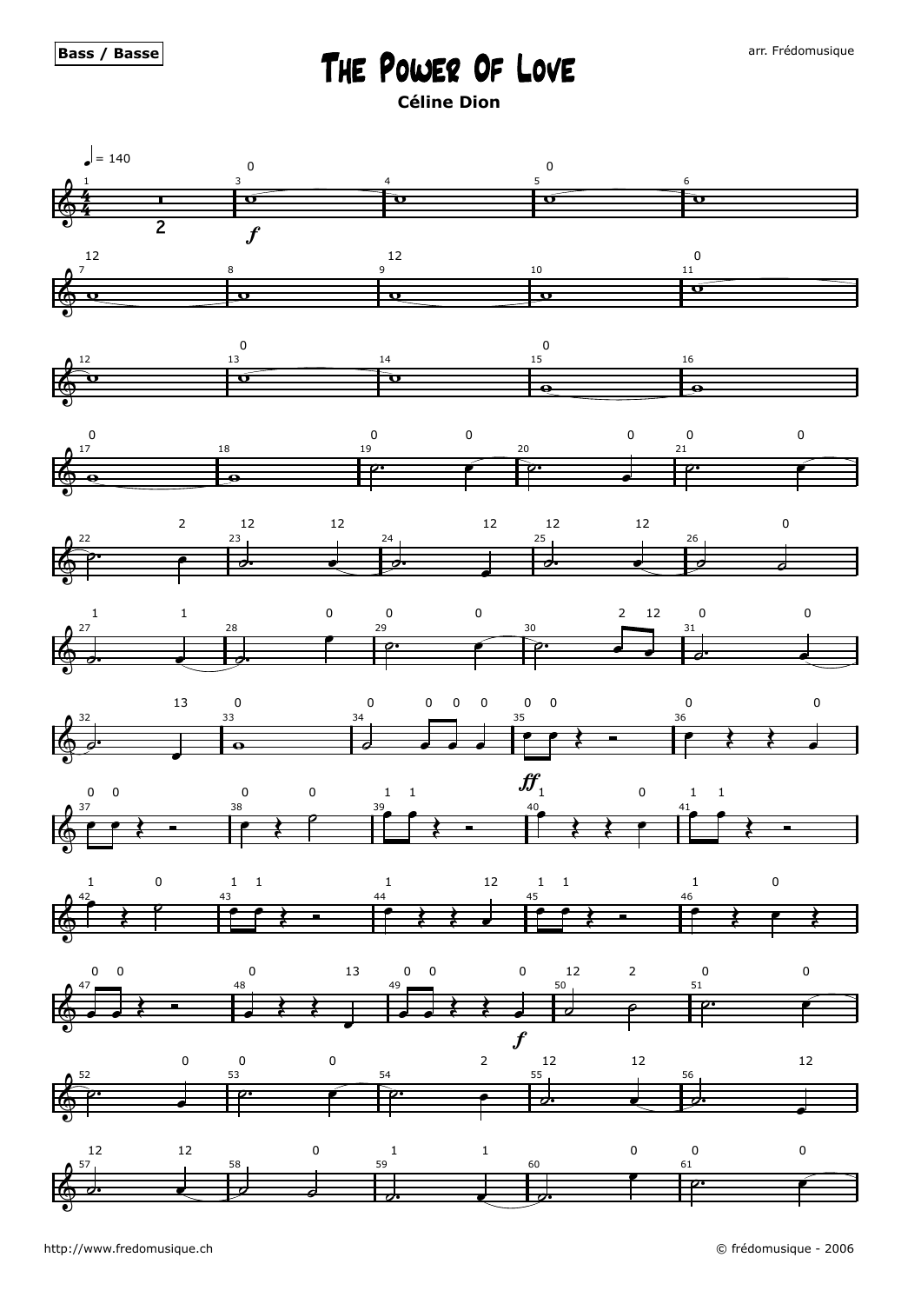## The Power Of Love

**Céline Dion**